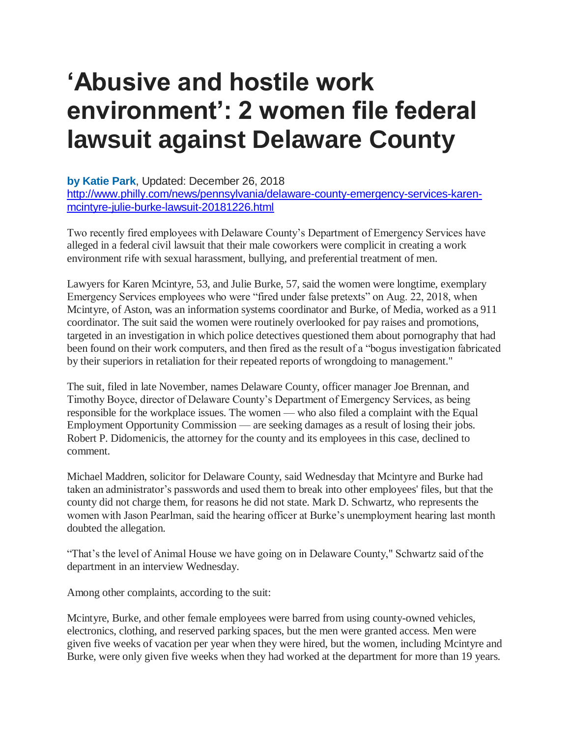## **'Abusive and hostile work environment': 2 women file federal lawsuit against Delaware County**

**[by Katie Park](http://www.philly.com/archive/katie_park/)**, Updated: December 26, 2018 [http://www.philly.com/news/pennsylvania/delaware-county-emergency-services-karen](http://www.philly.com/news/pennsylvania/delaware-county-emergency-services-karen-mcintyre-julie-burke-lawsuit-20181226.html)[mcintyre-julie-burke-lawsuit-20181226.html](http://www.philly.com/news/pennsylvania/delaware-county-emergency-services-karen-mcintyre-julie-burke-lawsuit-20181226.html)

Two recently fired employees with Delaware County's Department of Emergency Services have alleged in a federal civil lawsuit that their male coworkers were complicit in creating a work environment rife with sexual harassment, bullying, and preferential treatment of men.

Lawyers for Karen Mcintyre, 53, and Julie Burke, 57, said the women were longtime, exemplary Emergency Services employees who were "fired under false pretexts" on Aug. 22, 2018, when Mcintyre, of Aston, was an information systems coordinator and Burke, of Media, worked as a 911 coordinator. The suit said the women were routinely overlooked for pay raises and promotions, targeted in an investigation in which police detectives questioned them about pornography that had been found on their work computers, and then fired as the result of a "bogus investigation fabricated by their superiors in retaliation for their repeated reports of wrongdoing to management."

The suit, filed in late November, names Delaware County, officer manager Joe Brennan, and Timothy Boyce, director of Delaware County's Department of Emergency Services, as being responsible for the workplace issues. The women — who also filed a complaint with the Equal Employment Opportunity Commission — are seeking damages as a result of losing their jobs. Robert P. Didomenicis, the attorney for the county and its employees in this case, declined to comment.

Michael Maddren, solicitor for Delaware County, said Wednesday that Mcintyre and Burke had taken an administrator's passwords and used them to break into other employees' files, but that the county did not charge them, for reasons he did not state. Mark D. Schwartz, who represents the women with Jason Pearlman, said the hearing officer at Burke's unemployment hearing last month doubted the allegation.

"That's the level of Animal House we have going on in Delaware County," Schwartz said of the department in an interview Wednesday.

Among other complaints, according to the suit:

Mcintyre, Burke, and other female employees were barred from using county-owned vehicles, electronics, clothing, and reserved parking spaces, but the men were granted access. Men were given five weeks of vacation per year when they were hired, but the women, including Mcintyre and Burke, were only given five weeks when they had worked at the department for more than 19 years.